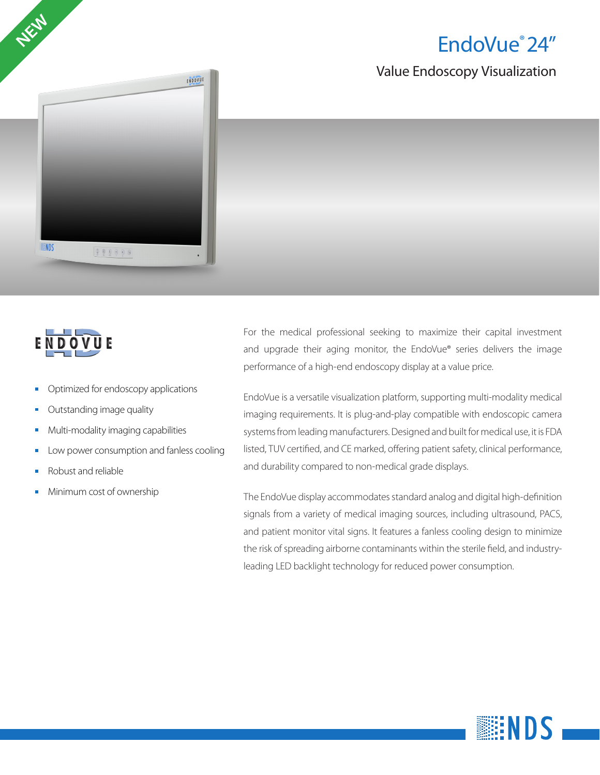# EndoVue®24"

## Value Endoscopy Visualization





- Optimized for endoscopy applications
- Outstanding image quality
- Multi-modality imaging capabilities
- Low power consumption and fanless cooling
- Robust and reliable
- Minimum cost of ownership $\overline{\phantom{a}}$

For the medical professional seeking to maximize their capital investment and upgrade their aging monitor, the EndoVue® series delivers the image performance of a high-end endoscopy display at a value price.

EndoVue is a versatile visualization platform, supporting multi-modality medical imaging requirements. It is plug-and-play compatible with endoscopic camera systems from leading manufacturers. Designed and built for medical use, it is FDA listed, TUV certified, and CE marked, offering patient safety, clinical performance, and durability compared to non-medical grade displays.

The EndoVue display accommodates standard analog and digital high-definition signals from a variety of medical imaging sources, including ultrasound, PACS, and patient monitor vital signs. It features a fanless cooling design to minimize the risk of spreading airborne contaminants within the sterile field, and industryleading LED backlight technology for reduced power consumption.